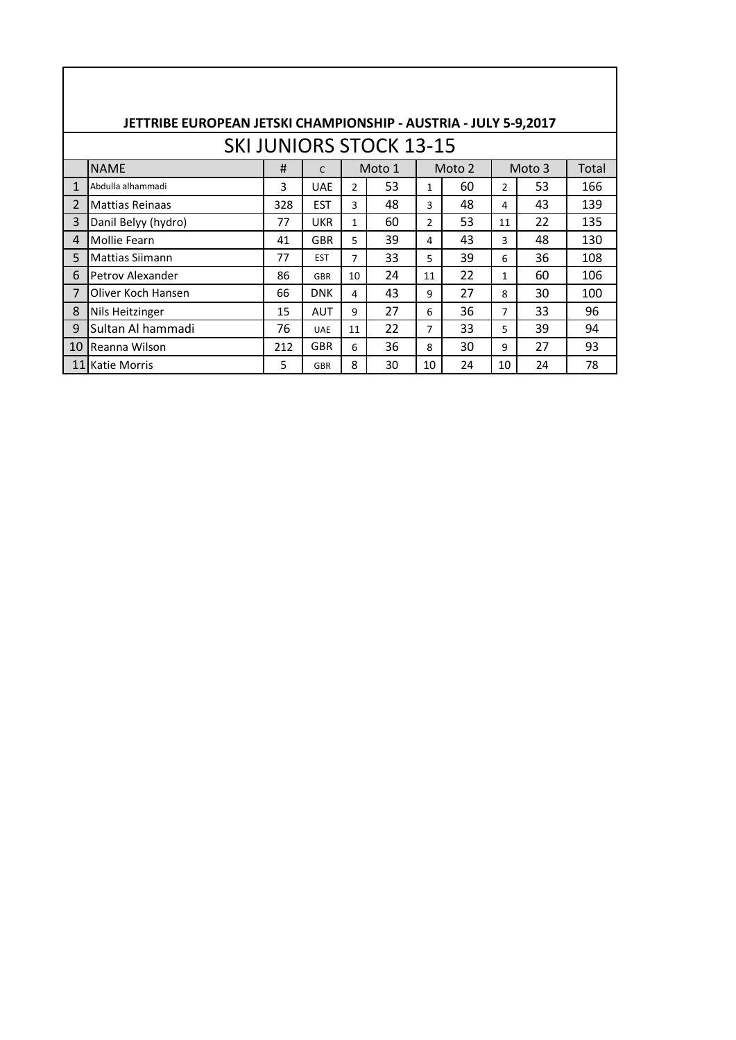|                |                        |     |            |                | <b>SKI JUNIORS STOCK 13-15</b> |                |        |                |        |       |
|----------------|------------------------|-----|------------|----------------|--------------------------------|----------------|--------|----------------|--------|-------|
|                |                        |     |            |                |                                |                |        |                |        |       |
|                | <b>NAME</b>            | #   | C          |                | Moto 1                         |                | Moto 2 |                | Moto 3 | Total |
| $\mathbf{1}$   | Abdulla alhammadi      | 3   | <b>UAE</b> | $\overline{2}$ | 53                             | $\mathbf{1}$   | 60     | 2              | 53     | 166   |
| 2              | <b>Mattias Reinaas</b> | 328 | <b>EST</b> | 3              | 48                             | 3              | 48     | 4              | 43     | 139   |
| 3              | Danil Belyy (hydro)    | 77  | <b>UKR</b> | $\mathbf{1}$   | 60                             | $\overline{2}$ | 53     | 11             | 22     | 135   |
| 4              | Mollie Fearn           | 41  | <b>GBR</b> | 5              | 39                             | 4              | 43     | 3              | 48     | 130   |
| 5              | Mattias Siimann        | 77  | <b>EST</b> | $\overline{7}$ | 33                             | 5              | 39     | 6              | 36     | 108   |
| 6              | Petrov Alexander       | 86  | <b>GBR</b> | 10             | 24                             | 11             | 22     | $\mathbf{1}$   | 60     | 106   |
| $\overline{7}$ | Oliver Koch Hansen     | 66  | <b>DNK</b> | 4              | 43                             | 9              | 27     | 8              | 30.    | 100   |
| 8              | Nils Heitzinger        | 15  | <b>AUT</b> | 9              | 27                             | 6              | 36     | $\overline{7}$ | 33     | 96    |
| 9              | Sultan Al hammadi      | 76  | <b>UAE</b> | 11             | 22                             | $\overline{7}$ | 33     | 5              | 39     | 94    |
| 10             | <b>I</b> Reanna Wilson | 212 | <b>GBR</b> | 6              | 36                             | 8              | 30     | 9              | 27     | 93    |
|                | 11 Katie Morris        | 5   | <b>GBR</b> | 8              | 30                             | 10             | 24     | 10             | 24     | 78    |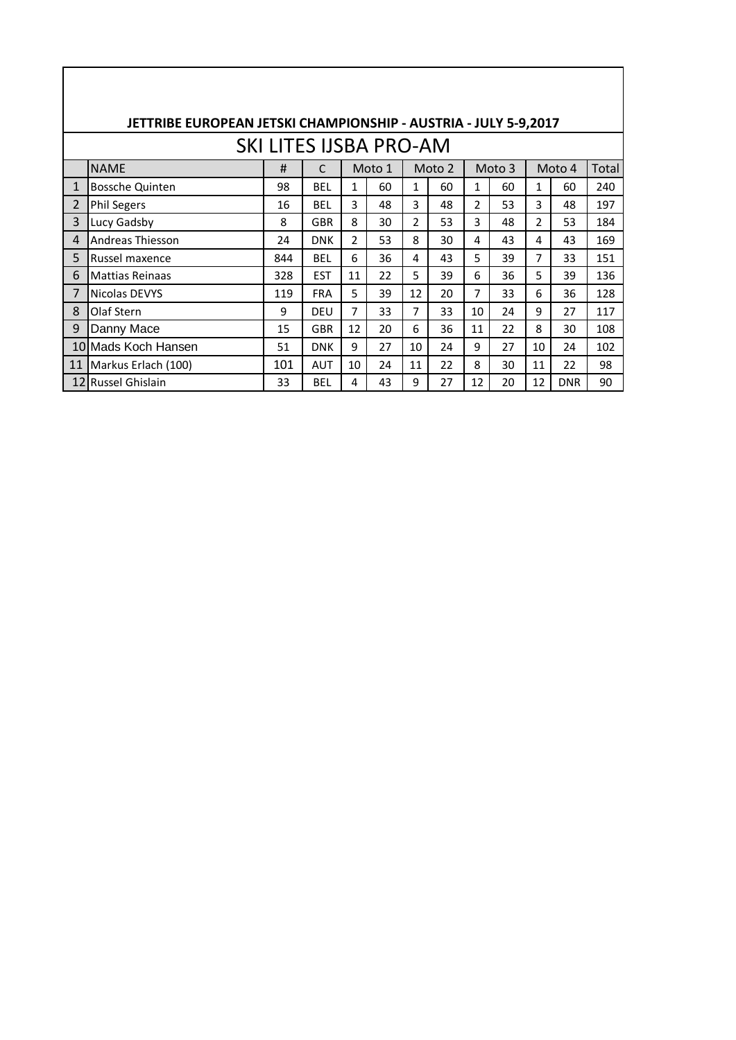|              | JETTRIBE EUROPEAN JETSKI CHAMPIONSHIP - AUSTRIA - JULY 5-9,2017                               |                               |              |                |        |               |        |               |        |                |            |       |  |
|--------------|-----------------------------------------------------------------------------------------------|-------------------------------|--------------|----------------|--------|---------------|--------|---------------|--------|----------------|------------|-------|--|
|              |                                                                                               | <b>SKI LITES IJSBA PRO-AM</b> |              |                |        |               |        |               |        |                |            |       |  |
|              | <b>NAME</b>                                                                                   | #                             | $\mathsf{C}$ |                | Moto 1 |               | Moto 2 |               | Moto 3 |                | Moto 4     | Total |  |
| $\mathbf{1}$ | Bossche Quinten                                                                               | 98                            | <b>BEL</b>   | $\mathbf{1}$   | 60     | 1             | 60     | 1             | 60     | 1              | 60         | 240   |  |
| 2            | <b>Phil Segers</b>                                                                            | 16                            | <b>BEL</b>   | 3              | 48     | 3             | 48     | $\mathcal{P}$ | 53     | 3              | 48         | 197   |  |
| 3            | Lucy Gadsby                                                                                   | 8                             | <b>GBR</b>   | 8              | 30     | $\mathcal{P}$ | 53     | 3             | 48     | $\mathfrak{p}$ | 53         | 184   |  |
| 4            | <b>Andreas Thiesson</b>                                                                       | 24                            | <b>DNK</b>   | $\overline{2}$ | 53     | 8             | 30     | 4             | 43     | 4              | 43         | 169   |  |
| 5            | Russel maxence                                                                                | 844                           | <b>BEL</b>   | 6              | 36     | 4             | 43     | 5             | 39     | 7              | 33         | 151   |  |
| 6            | <b>Mattias Reinaas</b>                                                                        | 328                           | <b>EST</b>   | 11             | 22     | 5             | 39     | 6             | 36     | 5              | 39         | 136   |  |
| 7            | Nicolas DEVYS                                                                                 | 119                           | <b>FRA</b>   | 5              | 39     | 12            | 20     | 7             | 33     | 6              | 36         | 128   |  |
| 8            | Olaf Stern                                                                                    | 9                             | DEU          | $\overline{7}$ | 33     | 7             | 33     | 10            | 24     | 9              | 27         | 117   |  |
| 9            | Danny Mace                                                                                    | 15                            | <b>GBR</b>   | 12             | 20     | 6             | 36     | 11            | 22     | 8              | 30         | 108   |  |
|              | 10 Mads Koch Hansen                                                                           | 51                            | <b>DNK</b>   | 9              | 27     | 10            | 24     | 9             | 27     | 10             | 24         | 102   |  |
| 11           | 101<br>Markus Erlach (100)<br>22<br>10<br>24<br>22<br>8<br>30<br>11<br>98<br><b>AUT</b><br>11 |                               |              |                |        |               |        |               |        |                |            |       |  |
|              | 12 Russel Ghislain                                                                            | 33                            | <b>BEL</b>   | 4              | 43     | 9             | 27     | 12            | 20     | 12             | <b>DNR</b> | 90    |  |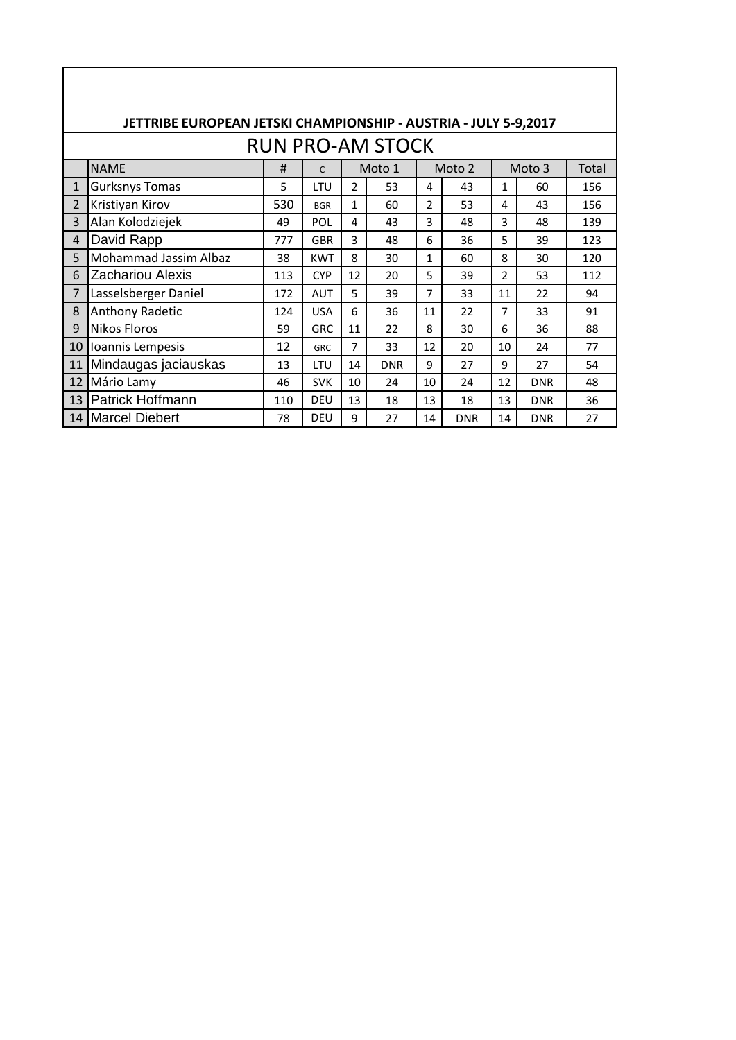|                | JETTRIBE EUROPEAN JETSKI CHAMPIONSHIP - AUSTRIA - JULY 5-9,2017 |     |              |                |                         |    |                   |    |            |       |
|----------------|-----------------------------------------------------------------|-----|--------------|----------------|-------------------------|----|-------------------|----|------------|-------|
|                |                                                                 |     |              |                | <b>RUN PRO-AM STOCK</b> |    |                   |    |            |       |
|                | <b>NAME</b>                                                     | #   | $\mathsf{C}$ |                | Moto 1                  |    | Moto <sub>2</sub> |    | Moto 3     | Total |
| $\mathbf{1}$   | <b>Gurksnys Tomas</b>                                           | 5   | LTU          | $\mathfrak{p}$ | 53                      | 4  | 43                | 1  | 60         | 156   |
| $\overline{2}$ | Kristiyan Kirov                                                 | 530 | <b>BGR</b>   | 1              | 60                      | 2  | 53                | 4  | 43         | 156   |
| 3              | Alan Kolodziejek                                                | 49  | POL          | 4              | 43                      | 3  | 48                | 3  | 48         | 139   |
| 4              | David Rapp                                                      | 777 | <b>GBR</b>   | 3              | 48                      | 6  | 36                | 5  | 39         | 123   |
| 5              | Mohammad Jassim Albaz                                           | 38  | <b>KWT</b>   | 8              | 30                      | 1  | 60                | 8  | 30         | 120   |
| 6              | Zachariou Alexis                                                | 113 | <b>CYP</b>   | 12             | 20                      | 5  | 39                | 2  | 53         | 112   |
| 7              | Lasselsberger Daniel                                            | 172 | <b>AUT</b>   | 5              | 39                      | 7  | 33                | 11 | 22         | 94    |
| 8              | <b>Anthony Radetic</b>                                          | 124 | <b>USA</b>   | 6              | 36                      | 11 | 22                | 7  | 33         | 91    |
| 9              | <b>Nikos Floros</b>                                             | 59  | <b>GRC</b>   | 11             | 22                      | 8  | 30                | 6  | 36         | 88    |
| 10             | Ioannis Lempesis                                                | 12  | <b>GRC</b>   | 7              | 33                      | 12 | 20                | 10 | 24         | 77    |
| 11             | Mindaugas jaciauskas                                            | 13  | LTU          | 14             | <b>DNR</b>              | 9  | 27                | 9  | 27         | 54    |
| 12             | Mário Lamy                                                      | 46  | <b>SVK</b>   | 10             | 24                      | 10 | 24                | 12 | <b>DNR</b> | 48    |
| 13             | <b>Patrick Hoffmann</b>                                         | 110 | DEU          | 13             | 18                      | 13 | 18                | 13 | <b>DNR</b> | 36    |
| 14             | <b>IMarcel Diebert</b>                                          | 78  | DEU          | 9              | 27                      | 14 | <b>DNR</b>        | 14 | <b>DNR</b> | 27    |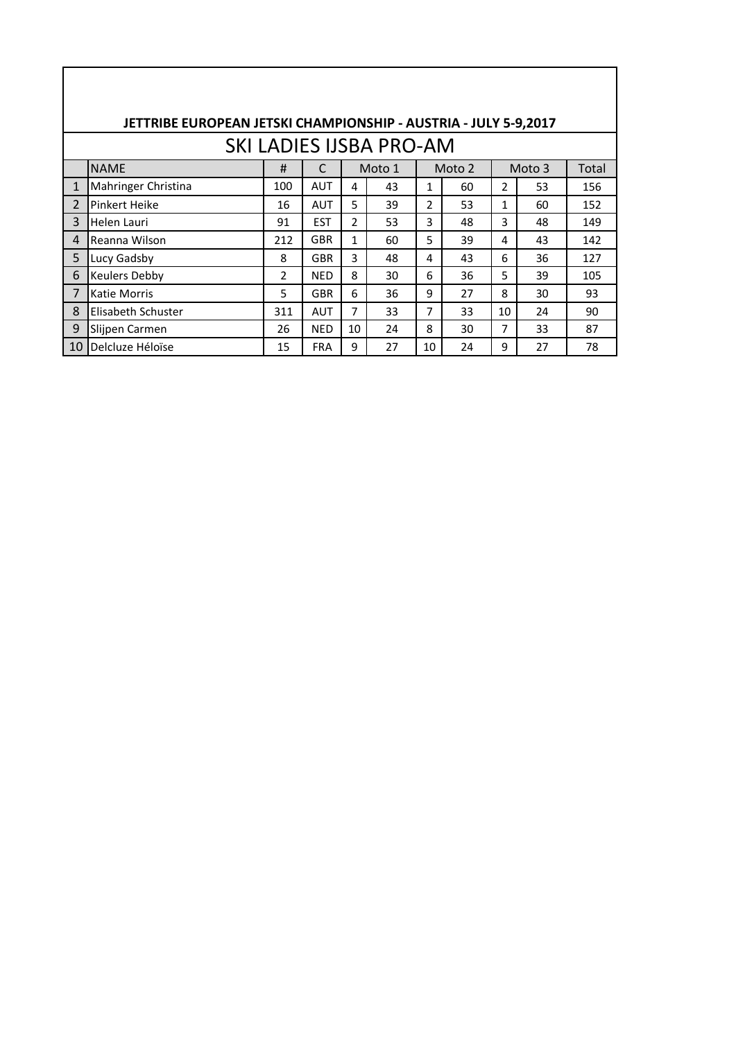|                | JETTRIBE EUROPEAN JETSKI CHAMPIONSHIP - AUSTRIA - JULY 5-9,2017 |                |            |               |                                |                |        |    |        |       |
|----------------|-----------------------------------------------------------------|----------------|------------|---------------|--------------------------------|----------------|--------|----|--------|-------|
|                |                                                                 |                |            |               | <b>SKI LADIES IJSBA PRO-AM</b> |                |        |    |        |       |
|                | <b>NAME</b>                                                     | #              | C          |               | Moto 1                         |                | Moto 2 |    | Moto 3 | Total |
| $\mathbf{1}$   | Mahringer Christina                                             | 100            | <b>AUT</b> | 4             | 43                             | $\mathbf{1}$   | 60     | 2  | 53     | 156   |
| $\overline{2}$ | Pinkert Heike                                                   | 16             | <b>AUT</b> | 5             | 39                             | $\overline{2}$ | 53     | 1  | 60     | 152   |
| 3              | Helen Lauri                                                     | 91             | <b>EST</b> | $\mathcal{P}$ | 53                             | 3              | 48     | 3  | 48     | 149   |
| 4              | Reanna Wilson                                                   | 212            | <b>GBR</b> | 1             | 60                             | 5              | 39     | 4  | 43     | 142   |
| 5              | Lucy Gadsby                                                     | 8              | <b>GBR</b> | 3             | 48                             | 4              | 43     | 6  | 36     | 127   |
| 6              | <b>Keulers Debby</b>                                            | $\overline{2}$ | <b>NED</b> | 8             | 30                             | 6              | 36     | 5  | 39     | 105   |
| 7              | Katie Morris                                                    | 5              | <b>GBR</b> | 6             | 36                             | 9              | 27     | 8  | 30     | 93    |
| 8              | Elisabeth Schuster                                              | 311            | <b>AUT</b> | 7             | 33                             | 7              | 33     | 10 | 24     | 90    |
| 9              | Slijpen Carmen                                                  | 26             | <b>NED</b> | 10            | 24                             | 8              | 30     | 7  | 33     | 87    |
| 10             | Delcluze Héloïse                                                | 15             | <b>FRA</b> | 9             | 27                             | 10             | 24     | 9  | 27     | 78    |
|                |                                                                 |                |            |               |                                |                |        |    |        |       |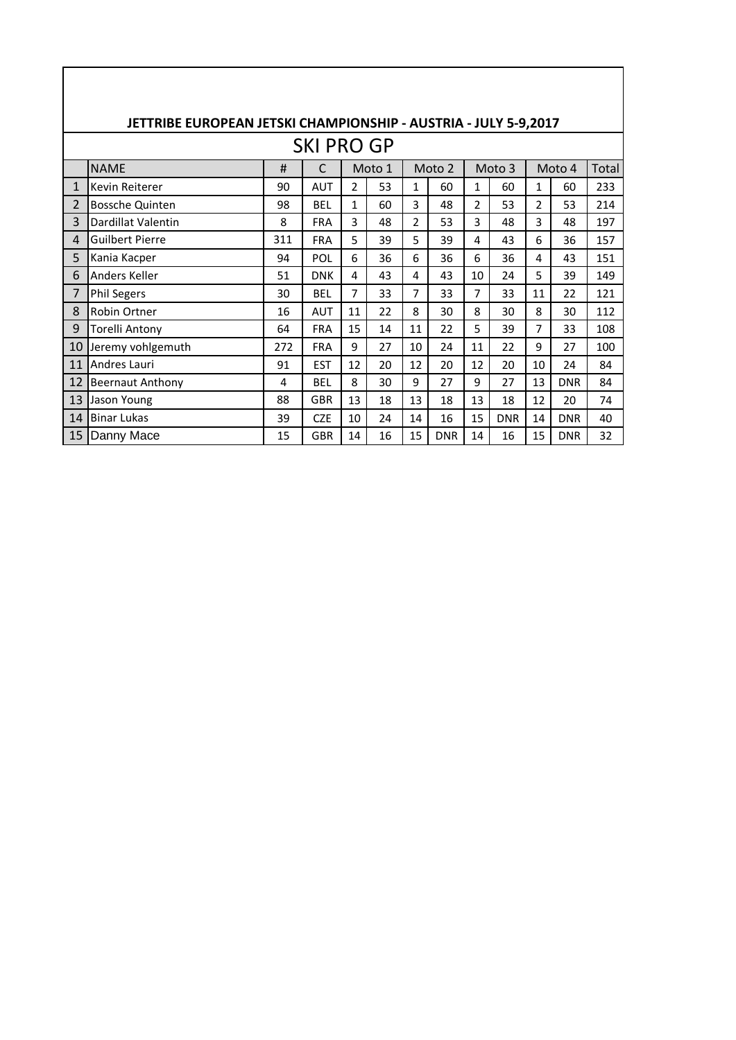|              | JETTRIBE EUROPEAN JETSKI CHAMPIONSHIP - AUSTRIA - JULY 5-9,2017 |     |                   |                |        |                |            |                |            |                |            |       |
|--------------|-----------------------------------------------------------------|-----|-------------------|----------------|--------|----------------|------------|----------------|------------|----------------|------------|-------|
|              |                                                                 |     | <b>SKI PRO GP</b> |                |        |                |            |                |            |                |            |       |
|              | <b>NAME</b>                                                     | #   | C                 |                | Moto 1 |                | Moto 2     |                | Moto 3     |                | Moto 4     | Total |
| $\mathbf{1}$ | Kevin Reiterer                                                  | 90  | <b>AUT</b>        | $\overline{2}$ | 53     | $\mathbf 1$    | 60         | $\mathbf{1}$   | 60         | $\mathbf{1}$   | 60         | 233   |
| 2            | <b>Bossche Quinten</b>                                          | 98  | <b>BEL</b>        | $\mathbf{1}$   | 60     | 3              | 48         | $\overline{2}$ | 53         | $\overline{2}$ | 53         | 214   |
| 3            | Dardillat Valentin                                              | 8   | <b>FRA</b>        | 3              | 48     | $\overline{2}$ | 53         | 3              | 48         | 3              | 48         | 197   |
| 4            | <b>Guilbert Pierre</b>                                          | 311 | <b>FRA</b>        | 5              | 39     | 5              | 39         | 4              | 43         | 6              | 36         | 157   |
| 5            | Kania Kacper                                                    | 94  | POL               | 6              | 36     | 6              | 36         | 6              | 36         | 4              | 43         | 151   |
| 6            | Anders Keller                                                   | 51  | <b>DNK</b>        | 4              | 43     | 4              | 43         | 10             | 24         | 5              | 39         | 149   |
| 7            | <b>Phil Segers</b>                                              | 30  | <b>BEL</b>        | $\overline{7}$ | 33     | $\overline{7}$ | 33         | 7              | 33         | 11             | 22         | 121   |
| 8            | Robin Ortner                                                    | 16  | <b>AUT</b>        | 11             | 22     | 8              | 30         | 8              | 30         | 8              | 30         | 112   |
| 9            | Torelli Antony                                                  | 64  | <b>FRA</b>        | 15             | 14     | 11             | 22         | 5              | 39         | 7              | 33         | 108   |
| 10           | Jeremy vohlgemuth                                               | 272 | <b>FRA</b>        | 9              | 27     | 10             | 24         | 11             | 22         | 9              | 27         | 100   |
| 11           | Andres Lauri                                                    | 91  | <b>EST</b>        | 12             | 20     | 12             | 20         | 12             | 20         | 10             | 24         | 84    |
| 12           | <b>Beernaut Anthony</b>                                         | 4   | <b>BEL</b>        | 8              | 30     | 9              | 27         | 9              | 27         | 13             | <b>DNR</b> | 84    |
| 13           | Jason Young                                                     | 88  | <b>GBR</b>        | 13             | 18     | 13             | 18         | 13             | 18         | 12             | 20         | 74    |
| 14           | <b>Binar Lukas</b>                                              | 39  | <b>CZE</b>        | 10             | 24     | 14             | 16         | 15             | <b>DNR</b> | 14             | <b>DNR</b> | 40    |
| 15           | Danny Mace                                                      | 15  | <b>GBR</b>        | 14             | 16     | 15             | <b>DNR</b> | 14             | 16         | 15             | <b>DNR</b> | 32    |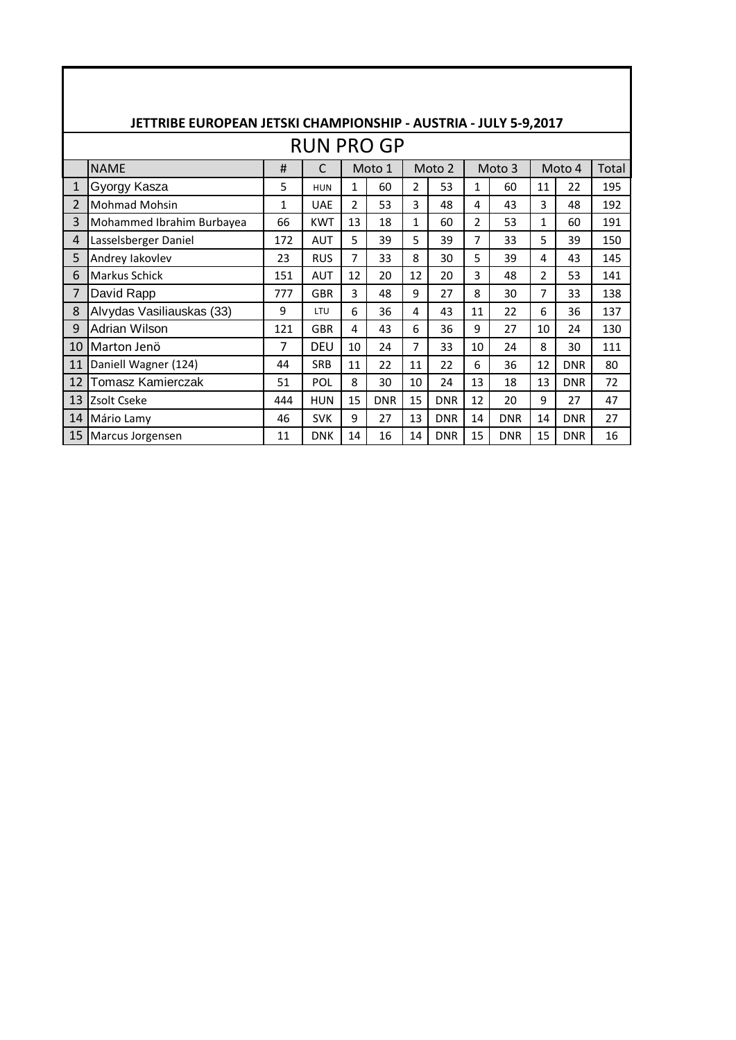|    | JETTRIBE EUROPEAN JETSKI CHAMPIONSHIP - AUSTRIA - JULY 5-9,2017 |     |                   |                |            |              |            |                |            |    |            |       |
|----|-----------------------------------------------------------------|-----|-------------------|----------------|------------|--------------|------------|----------------|------------|----|------------|-------|
|    |                                                                 |     | <b>RUN PRO GP</b> |                |            |              |            |                |            |    |            |       |
|    | <b>NAME</b>                                                     | #   | C                 |                | Moto 1     |              | Moto 2     |                | Moto 3     |    | Moto 4     | Total |
| 1  | Gyorgy Kasza                                                    | 5   | <b>HUN</b>        | $\mathbf{1}$   | 60         | 2            | 53         | 1              | 60         | 11 | 22         | 195   |
| 2  | <b>Mohmad Mohsin</b>                                            | 1   | <b>UAE</b>        | $\overline{2}$ | 53         | 3            | 48         | 4              | 43         | 3  | 48         | 192   |
| 3  | Mohammed Ibrahim Burbayea                                       | 66  | <b>KWT</b>        | 13             | 18         | $\mathbf{1}$ | 60         | $\overline{2}$ | 53         | 1  | 60         | 191   |
| 4  | Lasselsberger Daniel                                            | 172 | <b>AUT</b>        | 5              | 39         | 5            | 39         | 7              | 33         | 5  | 39         | 150   |
| 5  | Andrey lakovlev                                                 | 23  | <b>RUS</b>        | 7              | 33         | 8            | 30         | 5              | 39         | 4  | 43         | 145   |
| 6  | <b>Markus Schick</b>                                            | 151 | <b>AUT</b>        | 12             | 20         | 12           | 20         | 3              | 48         | 2  | 53         | 141   |
| 7  | David Rapp                                                      | 777 | <b>GBR</b>        | 3              | 48         | 9            | 27         | 8              | 30         | 7  | 33         | 138   |
| 8  | Alvydas Vasiliauskas (33)                                       | 9   | LTU               | 6              | 36         | 4            | 43         | 11             | 22         | 6  | 36         | 137   |
| 9  | Adrian Wilson                                                   | 121 | <b>GBR</b>        | 4              | 43         | 6            | 36         | 9              | 27         | 10 | 24         | 130   |
| 10 | Marton Jenö                                                     | 7   | <b>DEU</b>        | 10             | 24         | 7            | 33         | 10             | 24         | 8  | 30         | 111   |
| 11 | Daniell Wagner (124)                                            | 44  | <b>SRB</b>        | 11             | 22         | 11           | 22         | 6              | 36         | 12 | <b>DNR</b> | 80    |
| 12 | Tomasz Kamierczak                                               | 51  | POL               | 8              | 30         | 10           | 24         | 13             | 18         | 13 | <b>DNR</b> | 72    |
| 13 | Zsolt Cseke                                                     | 444 | <b>HUN</b>        | 15             | <b>DNR</b> | 15           | <b>DNR</b> | 12             | 20         | 9  | 27         | 47    |
| 14 | Mário Lamy                                                      | 46  | <b>SVK</b>        | 9              | 27         | 13           | <b>DNR</b> | 14             | <b>DNR</b> | 14 | <b>DNR</b> | 27    |
| 15 | Marcus Jorgensen                                                | 11  | <b>DNK</b>        | 14             | 16         | 14           | <b>DNR</b> | 15             | <b>DNR</b> | 15 | <b>DNR</b> | 16    |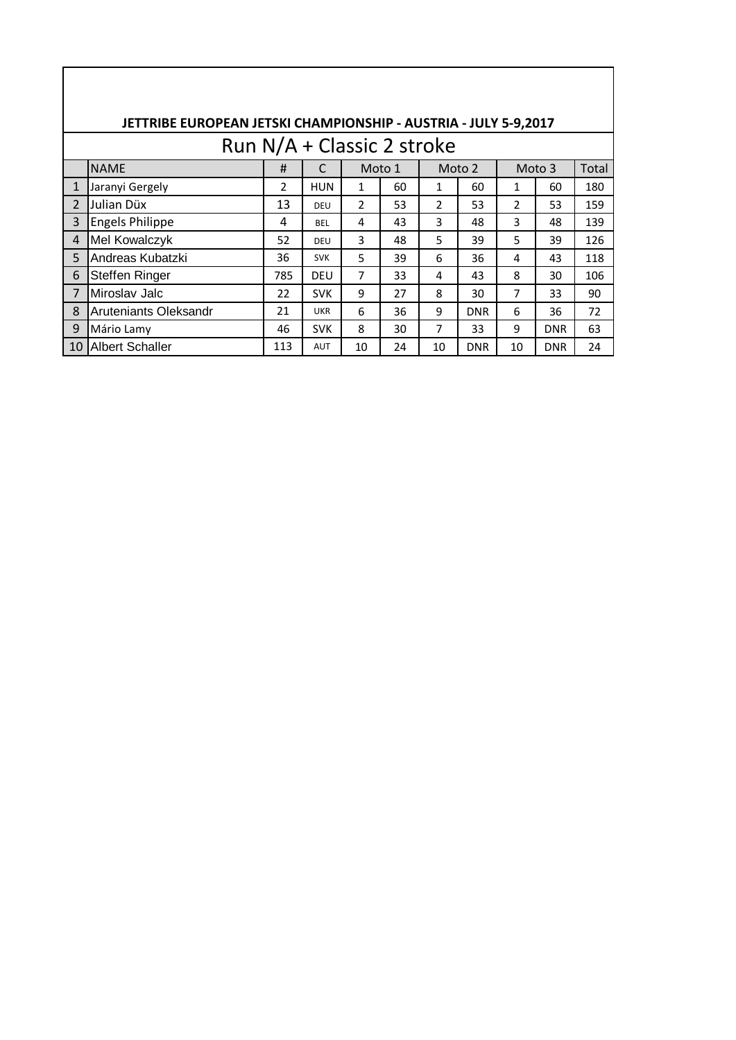|                |                        |               | Run N/A + Classic 2 stroke |                |        |              |            |                |            |       |
|----------------|------------------------|---------------|----------------------------|----------------|--------|--------------|------------|----------------|------------|-------|
|                | <b>NAME</b>            | #             | $\mathsf{C}$               |                | Moto 1 |              | Moto 2     |                | Moto 3     | Total |
| $\mathbf{1}$   | Jaranyi Gergely        | $\mathcal{P}$ | <b>HUN</b>                 | $\mathbf{1}$   | 60     | $\mathbf{1}$ | 60         | 1              | 60         | 180   |
| $\overline{2}$ | Julian Düx             | 13            | <b>DEU</b>                 | $\mathcal{P}$  | 53     | 2            | 53         | $\overline{2}$ | 53         | 159   |
| 3              | <b>Engels Philippe</b> | 4             | <b>BFI</b>                 | 4              | 43     | 3            | 48         | 3              | 48         | 139   |
| $\overline{4}$ | Mel Kowalczyk          | 52            | DEU                        | 3              | 48     | 5            | 39         | 5              | 39         | 126   |
| 5              | Andreas Kubatzki       | 36            | <b>SVK</b>                 | 5              | 39     | 6            | 36         | 4              | 43         | 118   |
| 6              | Steffen Ringer         | 785           | <b>DEU</b>                 | $\overline{7}$ | 33     | 4            | 43         | 8              | 30         | 106   |
| $\overline{7}$ | Miroslav Jalc          | 22            | <b>SVK</b>                 | 9              | 27     | 8            | 30         | 7              | 33         | 90    |
| 8              | Aruteniants Oleksandr  | 21            | <b>UKR</b>                 | 6              | 36     | 9            | <b>DNR</b> | 6              | 36         | 72    |
| 9              | Mário Lamy             | 46            | <b>SVK</b>                 | 8              | 30     | 7            | 33         | 9              | <b>DNR</b> | 63    |
| 10             | <b>Albert Schaller</b> | 113           | <b>AUT</b>                 | 10             | 24     | 10           | <b>DNR</b> | 10             | <b>DNR</b> | 24    |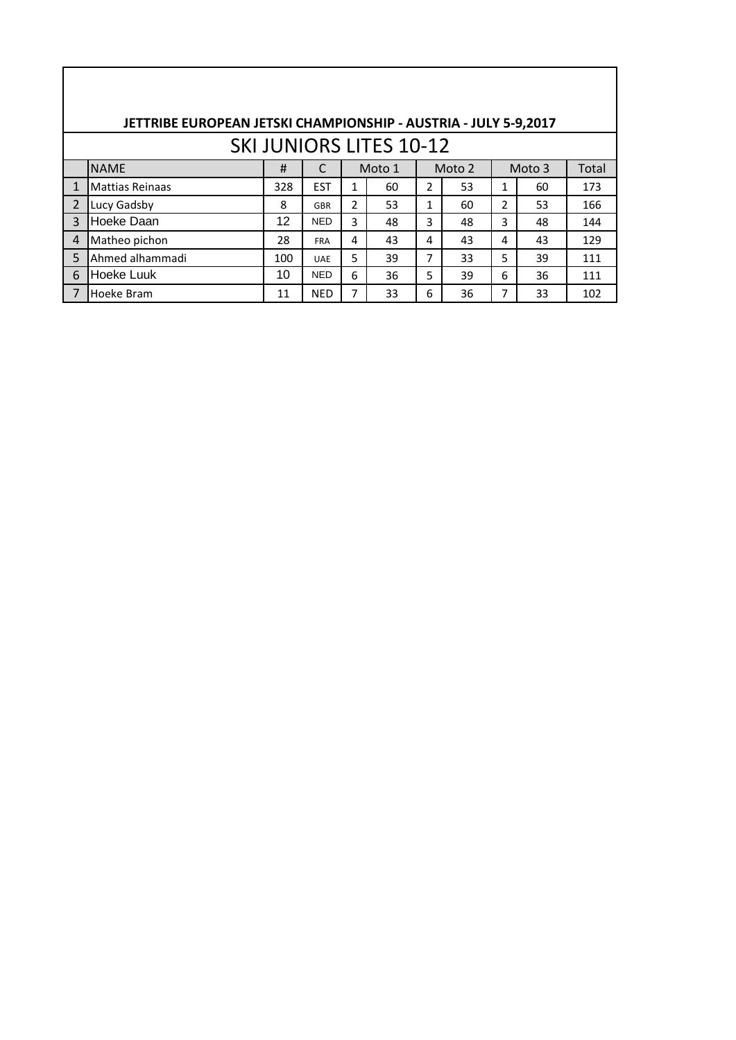|                | JETTRIBE EUROPEAN JETSKI CHAMPIONSHIP - AUSTRIA - JULY 5-9,2017 |     |            |   |                                |   |        |   |        |       |
|----------------|-----------------------------------------------------------------|-----|------------|---|--------------------------------|---|--------|---|--------|-------|
|                |                                                                 |     |            |   | <b>SKI JUNIORS LITES 10-12</b> |   |        |   |        |       |
|                | <b>NAME</b>                                                     | #   |            |   | Moto 1                         |   | Moto 2 |   | Moto 3 | Total |
|                | <b>Mattias Reinaas</b>                                          | 328 | <b>EST</b> | 1 | 60                             | 2 | 53     | 1 | 60     | 173   |
| $\overline{2}$ | Lucy Gadsby                                                     | 8   | GBR        | 2 | 53                             | 1 | 60     | 2 | 53     | 166   |
| $\mathbf{R}$   | Hoeke Daan                                                      | 12  | <b>NED</b> | 3 | 48                             | 3 | 48     | 3 | 48     | 144   |
| 4              | Matheo pichon                                                   | 28  | <b>FRA</b> | 4 | 43                             | 4 | 43     | 4 | 43     | 129   |
| 5              | Ahmed alhammadi                                                 | 100 | <b>UAE</b> | 5 | 39                             | 7 | 33     | 5 | 39     | 111   |
| 6              | <b>Hoeke Luuk</b>                                               | 10  | <b>NED</b> | 6 | 36                             | 5 | 39     | 6 | 36     | 111   |
|                | Hoeke Bram                                                      | 11  | <b>NED</b> | 7 | 33                             | 6 | 36     | 7 | 33     | 102   |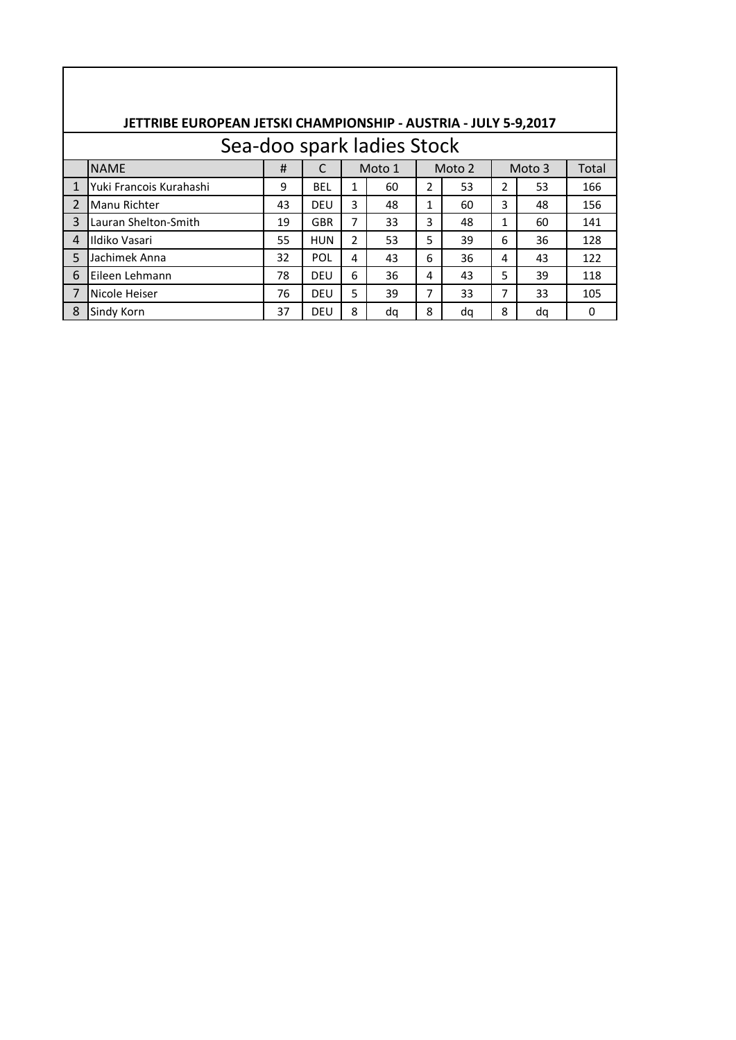|                | JETTRIBE EUROPEAN JETSKI CHAMPIONSHIP - AUSTRIA - JULY 5-9,2017 |    |            |               |                            |              |        |   |        |       |
|----------------|-----------------------------------------------------------------|----|------------|---------------|----------------------------|--------------|--------|---|--------|-------|
|                |                                                                 |    |            |               | Sea-doo spark ladies Stock |              |        |   |        |       |
|                | <b>NAME</b>                                                     | #  |            |               | Moto 1                     |              | Moto 2 |   | Moto 3 | Total |
| $\mathbf{1}$   | Yuki Francois Kurahashi                                         | 9  | <b>BEL</b> | 1             | 60                         | 2            | 53     | 2 | 53     | 166   |
| $\overline{2}$ | <b>Manu Richter</b>                                             | 43 | <b>DEU</b> | 3             | 48                         | $\mathbf{1}$ | 60     | 3 | 48     | 156   |
| 3              | Lauran Shelton-Smith                                            | 19 | <b>GBR</b> | 7             | 33                         | 3            | 48     | 1 | 60     | 141   |
| 4              | Ildiko Vasari                                                   | 55 | <b>HUN</b> | $\mathcal{P}$ | 53                         | 5            | 39     | 6 | 36     | 128   |
| 5              | Jachimek Anna                                                   | 32 | POL        | 4             | 43                         | 6            | 36     | 4 | 43     | 122   |
| 6              | Eileen Lehmann                                                  | 78 | DEU        | 6             | 36                         | 4            | 43     | 5 | 39     | 118   |
| 7              | Nicole Heiser                                                   | 76 | <b>DEU</b> | 5             | 39                         | 7            | 33     | 7 | 33     | 105   |
| 8              | Sindy Korn                                                      | 37 | DEU        | 8             | da                         | 8            | da     | 8 | da     | 0     |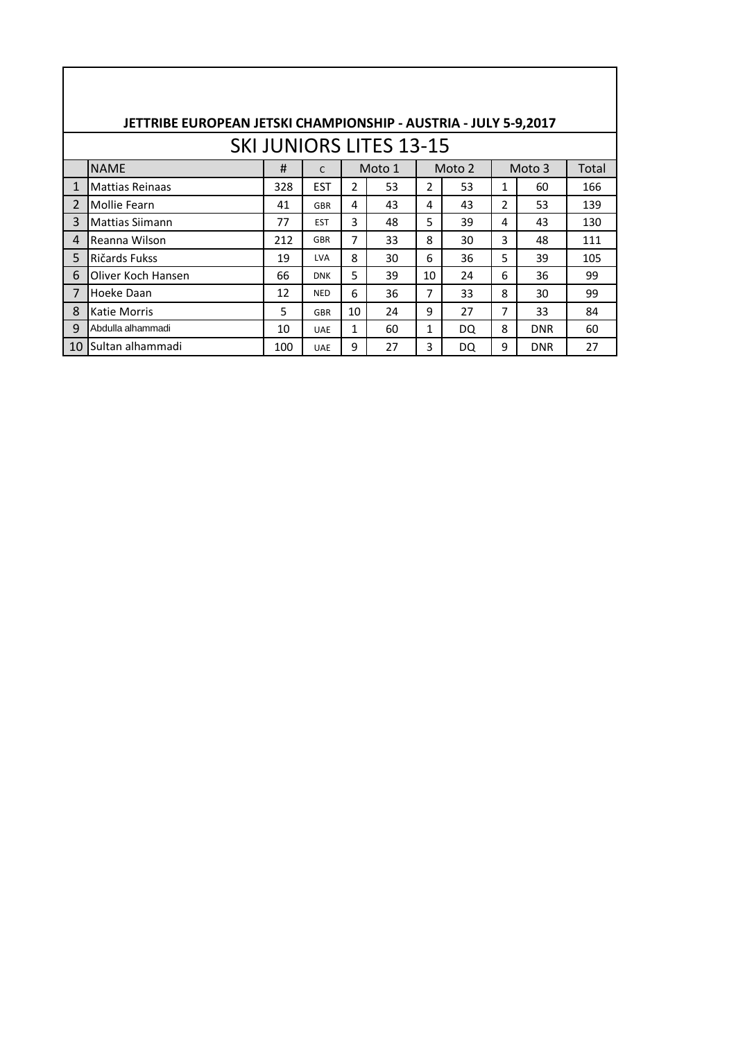|                | JETTRIBE EUROPEAN JETSKI CHAMPIONSHIP - AUSTRIA - JULY 5-9,2017 |     |              |                |                                |    |        |   |            |       |
|----------------|-----------------------------------------------------------------|-----|--------------|----------------|--------------------------------|----|--------|---|------------|-------|
|                |                                                                 |     |              |                | <b>SKI JUNIORS LITES 13-15</b> |    |        |   |            |       |
|                | <b>NAME</b>                                                     | #   | $\mathsf{C}$ |                | Moto 1                         |    | Moto 2 |   | Moto 3     | Total |
| $\mathbf{1}$   | <b>Mattias Reinaas</b>                                          | 328 | <b>EST</b>   | $\overline{2}$ | 53                             | 2  | 53     | 1 | 60         | 166   |
| 2              | Mollie Fearn                                                    | 41  | <b>GBR</b>   | 4              | 43                             | 4  | 43     | 2 | 53         | 139   |
| 3              | Mattias Siimann                                                 | 77  | <b>EST</b>   | 3              | 48                             | 5  | 39     | 4 | 43         | 130   |
| 4              | Reanna Wilson                                                   | 212 | <b>GBR</b>   | 7              | 33                             | 8  | 30     | 3 | 48         | 111   |
| 5              | Ričards Fukss                                                   | 19  | <b>LVA</b>   | 8              | 30                             | 6  | 36     | 5 | 39         | 105   |
| 6              | Oliver Koch Hansen                                              | 66  | <b>DNK</b>   | 5              | 39                             | 10 | 24     | 6 | 36         | 99    |
| $\overline{7}$ | Hoeke Daan                                                      | 12  | <b>NED</b>   | 6              | 36                             | 7  | 33     | 8 | 30         | 99    |
| 8              | Katie Morris                                                    | 5   | <b>GBR</b>   | 10             | 24                             | 9  | 27     | 7 | 33         | 84    |
| 9              | Abdulla alhammadi                                               | 10  | <b>UAE</b>   | 1              | 60                             | 1  | DQ.    | 8 | <b>DNR</b> | 60    |
| 10             | <b>I</b> Sultan alhammadi                                       | 100 | <b>UAE</b>   | 9              | 27                             | 3  | DQ     | 9 | <b>DNR</b> | 27    |
|                |                                                                 |     |              |                |                                |    |        |   |            |       |

 $\overline{\phantom{a}}$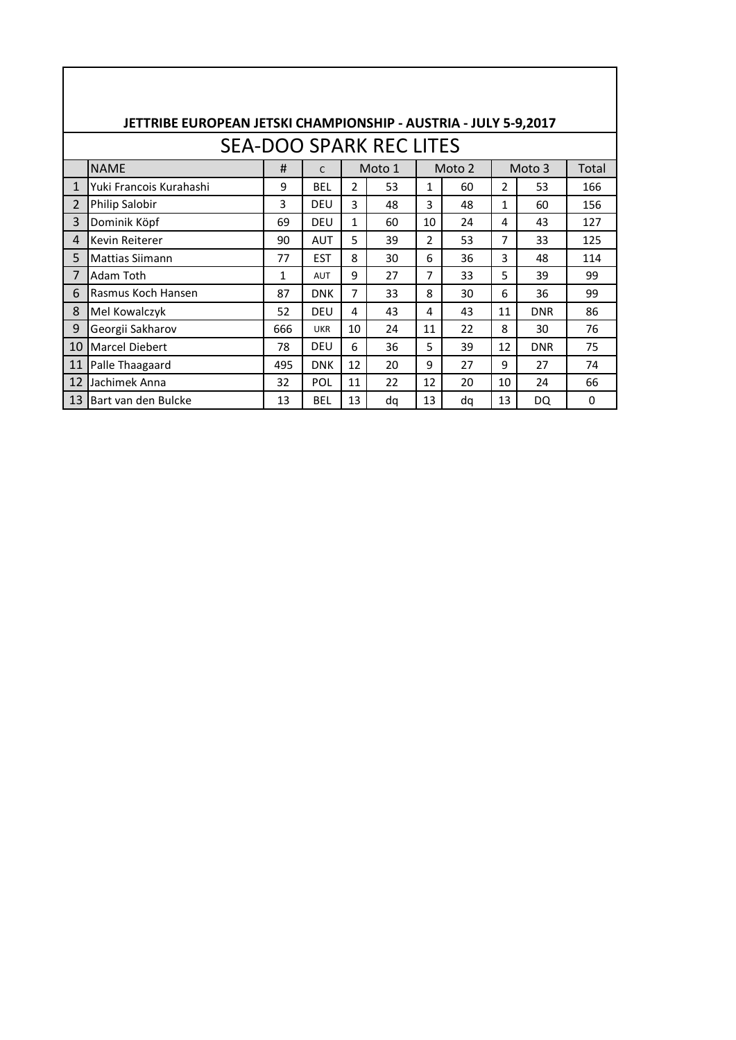|              | JETTRIBE EUROPEAN JETSKI CHAMPIONSHIP - AUSTRIA - JULY 5-9,2017 |     |            |                |                                |    |        |               |            |          |
|--------------|-----------------------------------------------------------------|-----|------------|----------------|--------------------------------|----|--------|---------------|------------|----------|
|              |                                                                 |     |            |                | <b>SEA-DOO SPARK REC LITES</b> |    |        |               |            |          |
|              | <b>NAME</b>                                                     | #   | C          |                | Moto 1                         |    | Moto 2 |               | Moto 3     | Total    |
| $\mathbf{1}$ | Yuki Francois Kurahashi                                         | 9   | BEL        | $\mathfrak{p}$ | 53                             | 1  | 60     | $\mathcal{P}$ | 53         | 166      |
| 2            | Philip Salobir                                                  | 3   | DEU        | 3              | 48                             | 3  | 48     | 1             | 60         | 156      |
| 3            | Dominik Köpf                                                    | 69  | DEU        | 1              | 60                             | 10 | 24     | 4             | 43         | 127      |
| 4            | Kevin Reiterer                                                  | 90  | AUT        | 5              | 39                             | 2  | 53     | 7             | 33         | 125      |
| 5            | Mattias Siimann                                                 | 77  | <b>EST</b> | 8              | 30                             | 6  | 36     | 3             | 48         | 114      |
| 7            | Adam Toth                                                       | 1   | <b>AUT</b> | 9              | 27                             | 7  | 33     | 5             | 39         | 99       |
| 6            | Rasmus Koch Hansen                                              | 87  | <b>DNK</b> | 7              | 33                             | 8  | 30     | 6             | 36         | 99       |
| 8            | Mel Kowalczyk                                                   | 52  | DEU        | 4              | 43                             | 4  | 43     | 11            | <b>DNR</b> | 86       |
| 9            | Georgii Sakharov                                                | 666 | <b>UKR</b> | 10             | 24                             | 11 | 22     | 8             | 30         | 76       |
| 10           | Marcel Diebert                                                  | 78  | DEU        | 6              | 36                             | 5  | 39     | 12            | <b>DNR</b> | 75       |
| 11           | Palle Thaagaard                                                 | 495 | <b>DNK</b> | 12             | 20                             | 9  | 27     | 9             | 27         | 74       |
| 12           | Jachimek Anna                                                   | 32  | POL        | 11             | 22                             | 12 | 20     | 10            | 24         | 66       |
| 13           | <b>Bart van den Bulcke</b>                                      | 13  | BEL        | 13             | dq                             | 13 | dq     | 13            | DQ         | $\Omega$ |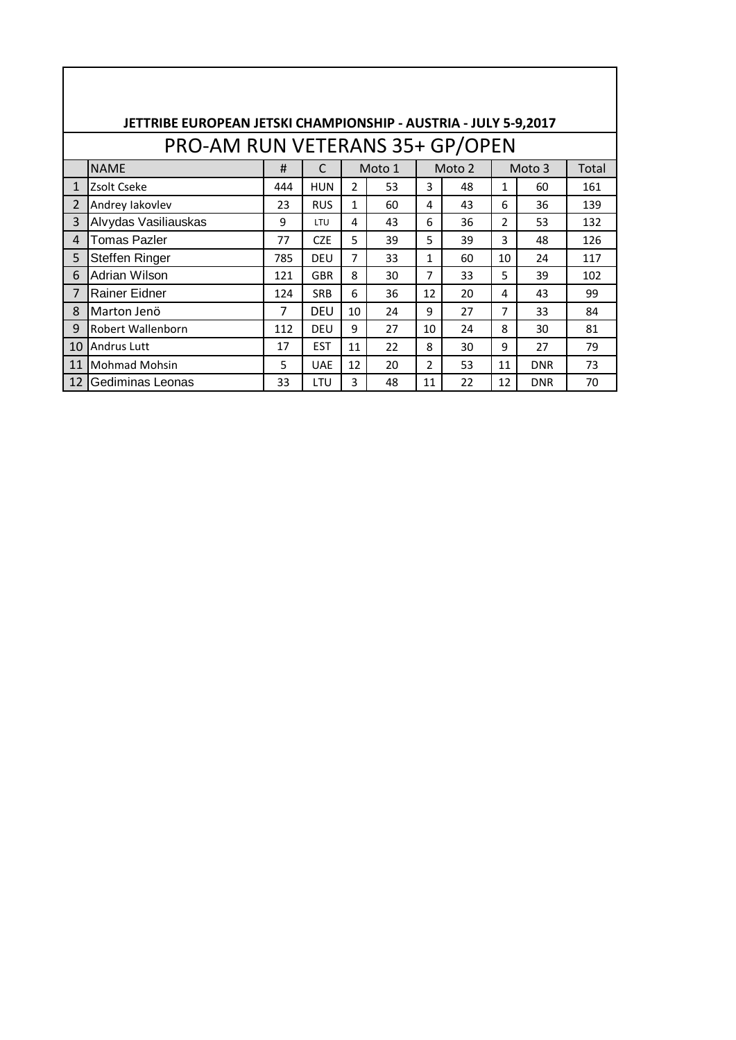|                         | JETTRIBE EUROPEAN JETSKI CHAMPIONSHIP - AUSTRIA - JULY 5-9,2017 |     |            |                |        |                |        |                |            |       |
|-------------------------|-----------------------------------------------------------------|-----|------------|----------------|--------|----------------|--------|----------------|------------|-------|
|                         | PRO-AM RUN VETERANS 35+ GP/OPEN                                 |     |            |                |        |                |        |                |            |       |
|                         | <b>NAME</b>                                                     | #   | C          |                | Moto 1 |                | Moto 2 |                | Moto 3     | Total |
| $\mathbf{1}$            | Zsolt Cseke                                                     | 444 | <b>HUN</b> | $\overline{2}$ | 53     | 3              | 48     | 1              | 60         | 161   |
| $\overline{\mathbf{z}}$ | Andrey lakovlev                                                 | 23  | <b>RUS</b> | 1              | 60     | 4              | 43     | 6              | 36         | 139   |
| 3                       | Alvydas Vasiliauskas                                            | 9   | LTU        | 4              | 43     | 6              | 36     | $\mathfrak{p}$ | 53         | 132   |
| 4                       | <b>Tomas Pazler</b>                                             | 77  | <b>CZE</b> | 5              | 39     | 5              | 39     | 3              | 48         | 126   |
| 5                       | Steffen Ringer                                                  | 785 | <b>DEU</b> | 7              | 33     | 1              | 60     | 10             | 24         | 117   |
| 6                       | Adrian Wilson                                                   | 121 | <b>GBR</b> | 8              | 30     | 7              | 33     | 5              | 39         | 102   |
| $\overline{7}$          | Rainer Eidner                                                   | 124 | <b>SRB</b> | 6              | 36     | 12             | 20     | 4              | 43         | 99    |
| 8                       | Marton Jenö                                                     | 7   | DEU        | 10             | 24     | 9              | 27     | 7              | 33         | 84    |
| 9                       | Robert Wallenborn                                               | 112 | <b>DEU</b> | 9              | 27     | 10             | 24     | 8              | 30         | 81    |
| 10                      | <b>Andrus Lutt</b>                                              | 17  | <b>EST</b> | 11             | 22     | 8              | 30     | 9              | 27         | 79    |
| 11                      | Mohmad Mohsin                                                   | 5   | <b>UAE</b> | 12             | 20     | $\mathfrak{p}$ | 53     | 11             | <b>DNR</b> | 73    |
| 12 <sub>1</sub>         | Gediminas Leonas                                                | 33  | LTU        | 3              | 48     | 11             | 22     | 12             | <b>DNR</b> | 70    |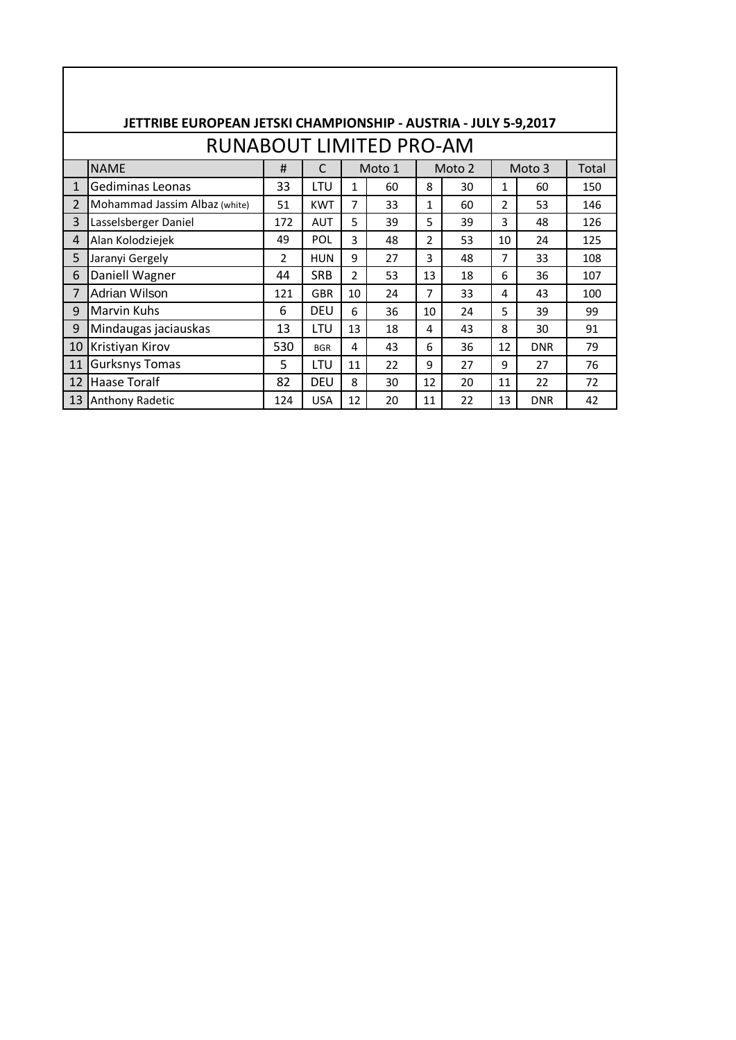|                                | JETTRIBE EUROPEAN JETSKI CHAMPIONSHIP - AUSTRIA - JULY 5-9,2017 |                |            |                |    |                |    |                |            |     |  |  |  |  |
|--------------------------------|-----------------------------------------------------------------|----------------|------------|----------------|----|----------------|----|----------------|------------|-----|--|--|--|--|
| <b>RUNABOUT LIMITED PRO-AM</b> |                                                                 |                |            |                |    |                |    |                |            |     |  |  |  |  |
|                                | <b>NAME</b><br>#<br>C<br>Moto 1<br>Moto 2<br>Moto 3<br>Total    |                |            |                |    |                |    |                |            |     |  |  |  |  |
| $\mathbf{1}$                   | Gediminas Leonas                                                | 33             | <b>LTU</b> | $\mathbf{1}$   | 60 | 8              | 30 | $\mathbf{1}$   | 60         | 150 |  |  |  |  |
| $\overline{2}$                 | Mohammad Jassim Albaz (white)                                   | 51             | <b>KWT</b> | $\overline{7}$ | 33 | $\mathbf{1}$   | 60 | $\overline{2}$ | 53         | 146 |  |  |  |  |
| 3                              | Lasselsberger Daniel                                            | 172            | <b>AUT</b> | 5              | 39 | 5              | 39 | 3              | 48         | 126 |  |  |  |  |
| 4                              | Alan Kolodziejek                                                | 49             | POL        | 3              | 48 | $\overline{2}$ | 53 | 10             | 24         | 125 |  |  |  |  |
| 5                              | Jaranyi Gergely                                                 | $\overline{2}$ | <b>HUN</b> | 9              | 27 | 3              | 48 | $\overline{7}$ | 33         | 108 |  |  |  |  |
| 6                              | Daniell Wagner                                                  | 44             | <b>SRB</b> | $\mathcal{P}$  | 53 | 13             | 18 | 6              | 36         | 107 |  |  |  |  |
| 7                              | Adrian Wilson                                                   | 121            | <b>GBR</b> | 10             | 24 | $\overline{7}$ | 33 | 4              | 43         | 100 |  |  |  |  |
| 9                              | <b>Marvin Kuhs</b>                                              | 6              | <b>DEU</b> | 6              | 36 | 10             | 24 | 5              | 39         | 99  |  |  |  |  |
| 9                              | Mindaugas jaciauskas                                            | 13             | LTU        | 13             | 18 | 4              | 43 | 8              | 30         | 91  |  |  |  |  |
| 10                             | Kristiyan Kirov                                                 | 530            | <b>BGR</b> | 4              | 43 | 6              | 36 | 12             | <b>DNR</b> | 79  |  |  |  |  |
| 11                             | <b>Gurksnys Tomas</b>                                           | 5              | LTU        | 11             | 22 | 9              | 27 | 9              | 27         | 76  |  |  |  |  |
| 12                             | <b>Haase Toralf</b>                                             | 82             | <b>DEU</b> | 8              | 30 | 12             | 20 | 11             | 22         | 72  |  |  |  |  |
| 13                             | Anthony Radetic                                                 | 124            | <b>USA</b> | 12             | 20 | 11             | 22 | 13             | <b>DNR</b> | 42  |  |  |  |  |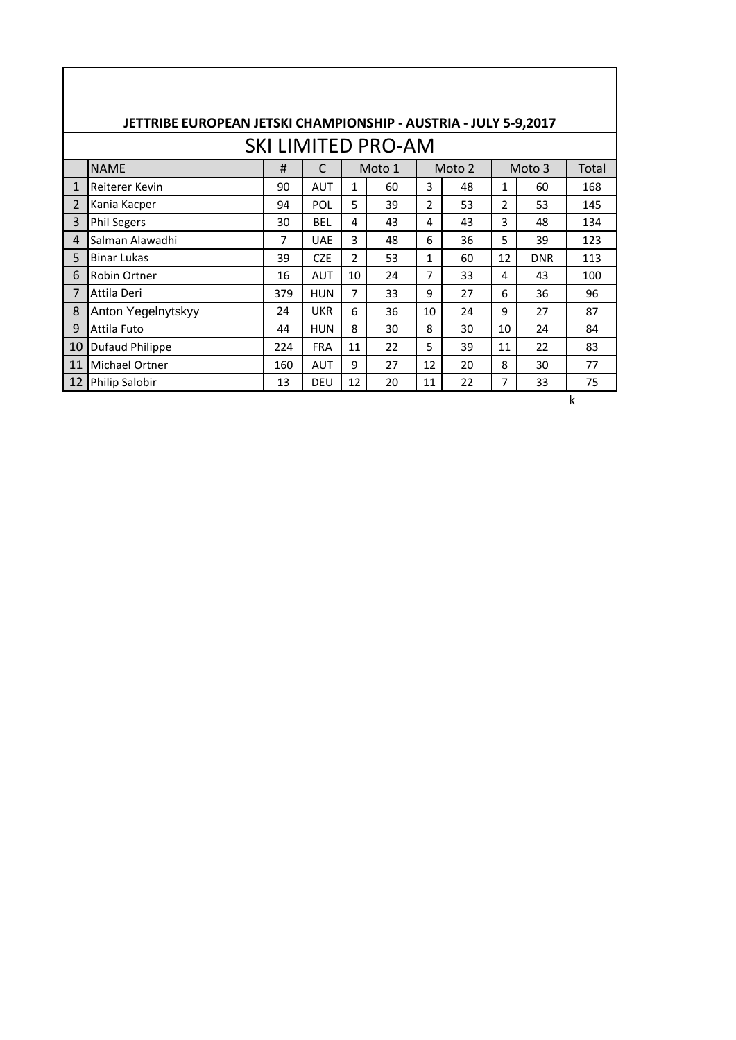|                           | JETTRIBE EUROPEAN JETSKI CHAMPIONSHIP - AUSTRIA - JULY 5-9,2017 |     |            |                |    |                |    |                |            |     |  |  |  |  |
|---------------------------|-----------------------------------------------------------------|-----|------------|----------------|----|----------------|----|----------------|------------|-----|--|--|--|--|
| <b>SKI LIMITED PRO-AM</b> |                                                                 |     |            |                |    |                |    |                |            |     |  |  |  |  |
|                           | <b>NAME</b><br>#<br>C<br>Moto 1<br>Moto 2<br>Moto 3<br>Total    |     |            |                |    |                |    |                |            |     |  |  |  |  |
| 1                         | Reiterer Kevin                                                  | 90  | <b>AUT</b> | $\mathbf{1}$   | 60 | 3              | 48 | $\mathbf{1}$   | 60         | 168 |  |  |  |  |
| $\overline{2}$            | Kania Kacper                                                    | 94  | <b>POL</b> | 5              | 39 | $\overline{2}$ | 53 | $\overline{2}$ | 53         | 145 |  |  |  |  |
| 3                         | <b>Phil Segers</b>                                              | 30  | <b>BEL</b> | 4              | 43 | 4              | 43 | 3              | 48         | 134 |  |  |  |  |
| $\overline{4}$            | Salman Alawadhi                                                 | 7   | <b>UAE</b> | 3              | 48 | 6              | 36 | 5              | 39         | 123 |  |  |  |  |
| 5                         | <b>Binar Lukas</b>                                              | 39  | <b>CZE</b> | $\overline{2}$ | 53 | $\mathbf{1}$   | 60 | 12             | <b>DNR</b> | 113 |  |  |  |  |
| 6                         | Robin Ortner                                                    | 16  | <b>AUT</b> | 10             | 24 | 7              | 33 | 4              | 43         | 100 |  |  |  |  |
| 7                         | Attila Deri                                                     | 379 | <b>HUN</b> | $\overline{7}$ | 33 | 9              | 27 | 6              | 36         | 96  |  |  |  |  |
| 8                         | Anton Yegelnytskyy                                              | 24  | <b>UKR</b> | 6              | 36 | 10             | 24 | 9              | 27         | 87  |  |  |  |  |
| 9                         | Attila Futo                                                     | 44  | <b>HUN</b> | 8              | 30 | 8              | 30 | 10             | 24         | 84  |  |  |  |  |
| 10                        | Dufaud Philippe                                                 | 224 | <b>FRA</b> | 11             | 22 | 5              | 39 | 11             | 22         | 83  |  |  |  |  |
| 11                        | Michael Ortner                                                  | 160 | <b>AUT</b> | 9              | 27 | 12             | 20 | 8              | 30         | 77  |  |  |  |  |
| 12                        | Philip Salobir                                                  | 13  | <b>DEU</b> | 12             | 20 | 11             | 22 | 7              | 33         | 75  |  |  |  |  |

k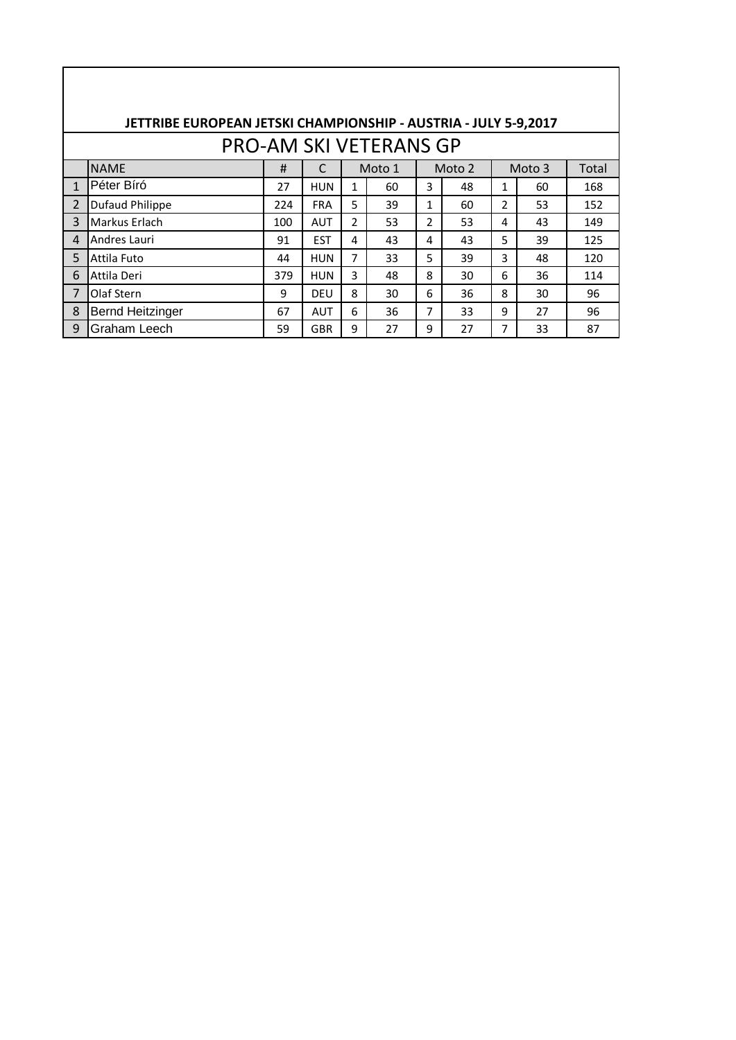|                | JETTRIBE EUROPEAN JETSKI CHAMPIONSHIP - AUSTRIA - JULY 5-9,2017 |     |            |               |        |                |        |   |        |       |  |  |  |
|----------------|-----------------------------------------------------------------|-----|------------|---------------|--------|----------------|--------|---|--------|-------|--|--|--|
|                | <b>PRO-AM SKI VETERANS GP</b>                                   |     |            |               |        |                |        |   |        |       |  |  |  |
|                | <b>NAME</b>                                                     | #   |            |               | Moto 1 |                | Moto 2 |   | Moto 3 | Total |  |  |  |
| $\mathbf{1}$   | Péter Bíró                                                      | 27  | <b>HUN</b> | 1             | 60     | 3              | 48     | 1 | 60     | 168   |  |  |  |
| $\overline{2}$ | <b>Dufaud Philippe</b>                                          | 224 | <b>FRA</b> | 5             | 39     | $\mathbf{1}$   | 60     | 2 | 53     | 152   |  |  |  |
| 3              | Markus Erlach                                                   | 100 | <b>AUT</b> | $\mathcal{P}$ | 53     | $\overline{2}$ | 53     | 4 | 43     | 149   |  |  |  |
| 4              | Andres Lauri                                                    | 91  | <b>EST</b> | 4             | 43     | 4              | 43     | 5 | 39     | 125   |  |  |  |
| 5              | Attila Futo                                                     | 44  | <b>HUN</b> | 7             | 33     | 5              | 39     | 3 | 48     | 120   |  |  |  |
| 6              | Attila Deri                                                     | 379 | <b>HUN</b> | 3             | 48     | 8              | 30     | 6 | 36     | 114   |  |  |  |
| $\overline{7}$ | Olaf Stern                                                      | 9   | DEU        | 8             | 30     | 6              | 36     | 8 | 30     | 96    |  |  |  |
| 8              | <b>Bernd Heitzinger</b>                                         | 67  | <b>AUT</b> | 6             | 36     | 7              | 33     | 9 | 27     | 96    |  |  |  |
| q              | Graham Leech                                                    | 59  | GBR        | 9             | 27     | 9              | 27     | 7 | 33     | 87    |  |  |  |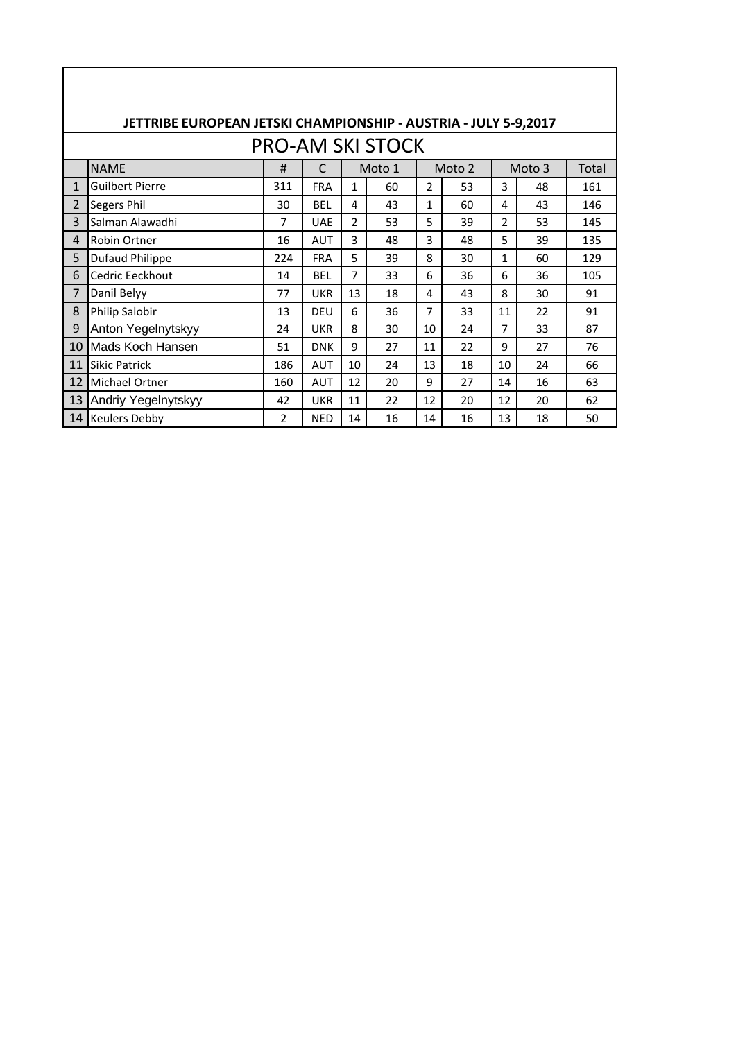|                         | JETTRIBE EUROPEAN JETSKI CHAMPIONSHIP - AUSTRIA - JULY 5-9,2017 |                |            |                |    |                |    |    |    |     |  |  |  |  |
|-------------------------|-----------------------------------------------------------------|----------------|------------|----------------|----|----------------|----|----|----|-----|--|--|--|--|
| <b>PRO-AM SKI STOCK</b> |                                                                 |                |            |                |    |                |    |    |    |     |  |  |  |  |
|                         | <b>NAME</b><br>#<br>C<br>Moto 1<br>Moto 2<br>Moto 3<br>Total    |                |            |                |    |                |    |    |    |     |  |  |  |  |
| $\mathbf{1}$            | <b>Guilbert Pierre</b>                                          | 311            | <b>FRA</b> | $\mathbf{1}$   | 60 | $\mathfrak{p}$ | 53 | 3  | 48 | 161 |  |  |  |  |
| 2                       | Segers Phil                                                     | 30             | <b>BEL</b> | 4              | 43 | 1              | 60 | 4  | 43 | 146 |  |  |  |  |
| 3                       | Salman Alawadhi                                                 | 7              | <b>UAE</b> | $\mathcal{P}$  | 53 | 5              | 39 | 2  | 53 | 145 |  |  |  |  |
| 4                       | <b>Robin Ortner</b>                                             | 16             | <b>AUT</b> | 3              | 48 | 3              | 48 | 5  | 39 | 135 |  |  |  |  |
| 5                       | <b>Dufaud Philippe</b>                                          | 224            | <b>FRA</b> | 5              | 39 | 8              | 30 | 1  | 60 | 129 |  |  |  |  |
| 6                       | Cedric Eeckhout                                                 | 14             | <b>BEL</b> | $\overline{7}$ | 33 | 6              | 36 | 6  | 36 | 105 |  |  |  |  |
| 7                       | Danil Belyy                                                     | 77             | <b>UKR</b> | 13             | 18 | 4              | 43 | 8  | 30 | 91  |  |  |  |  |
| 8                       | Philip Salobir                                                  | 13             | DFU        | 6              | 36 | 7              | 33 | 11 | 22 | 91  |  |  |  |  |
| 9                       | Anton Yegelnytskyy                                              | 24             | <b>UKR</b> | 8              | 30 | 10             | 24 | 7  | 33 | 87  |  |  |  |  |
| 10                      | Mads Koch Hansen                                                | 51             | <b>DNK</b> | 9              | 27 | 11             | 22 | 9  | 27 | 76  |  |  |  |  |
| 11                      | <b>Sikic Patrick</b>                                            | 186            | <b>AUT</b> | 10             | 24 | 13             | 18 | 10 | 24 | 66  |  |  |  |  |
| 12                      | Michael Ortner                                                  | 160            | <b>AUT</b> | 12             | 20 | 9              | 27 | 14 | 16 | 63  |  |  |  |  |
| 13                      | Andriy Yegelnytskyy                                             | 42             | <b>UKR</b> | 11             | 22 | 12             | 20 | 12 | 20 | 62  |  |  |  |  |
| 14                      | <b>Keulers Debby</b>                                            | $\overline{2}$ | <b>NED</b> | 14             | 16 | 14             | 16 | 13 | 18 | 50  |  |  |  |  |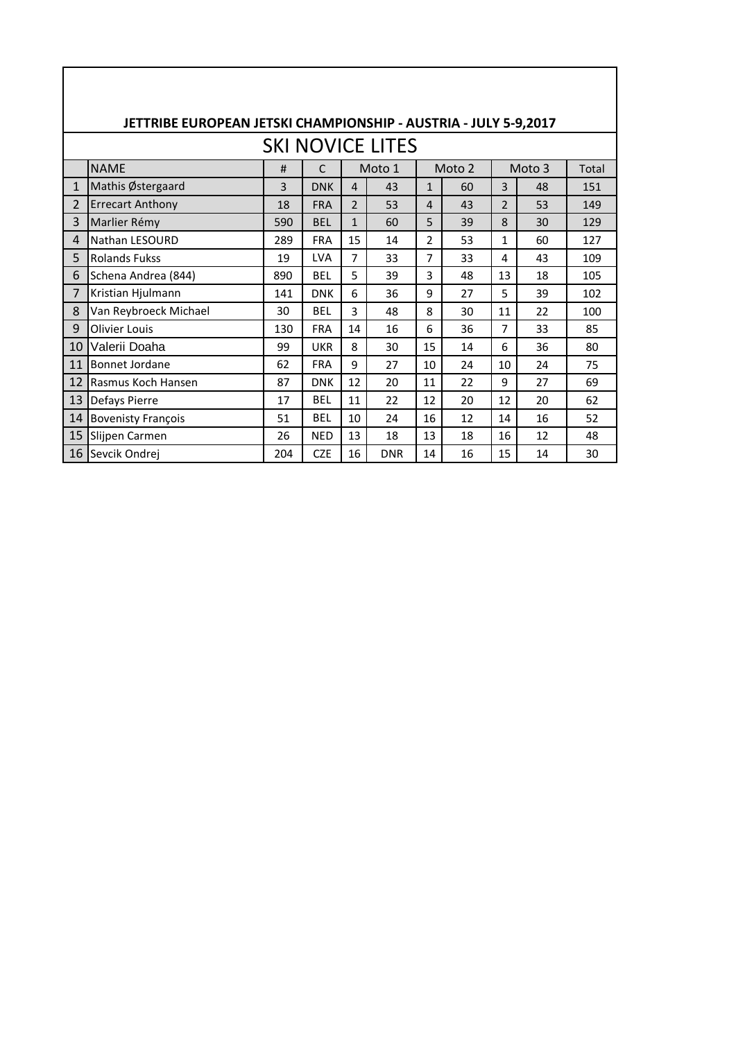|                         | JETTRIBE EUROPEAN JETSKI CHAMPIONSHIP - AUSTRIA - JULY 5-9,2017         |     |            |                |            |                |    |                |    |     |  |  |  |
|-------------------------|-------------------------------------------------------------------------|-----|------------|----------------|------------|----------------|----|----------------|----|-----|--|--|--|
| <b>SKI NOVICE LITES</b> |                                                                         |     |            |                |            |                |    |                |    |     |  |  |  |
|                         | <b>NAME</b><br>Moto 1<br>Moto 2<br>Moto 3<br>$\mathsf{C}$<br>#<br>Total |     |            |                |            |                |    |                |    |     |  |  |  |
| $\mathbf{1}$            | Mathis Østergaard                                                       | 3   | <b>DNK</b> | $\overline{a}$ | 43         | $\mathbf{1}$   | 60 | 3              | 48 | 151 |  |  |  |
| 2                       | <b>Errecart Anthony</b>                                                 | 18  | <b>FRA</b> | $\overline{2}$ | 53         | 4              | 43 | $\overline{2}$ | 53 | 149 |  |  |  |
| 3                       | Marlier Rémy                                                            | 590 | <b>BEL</b> | $\mathbf{1}$   | 60         | 5              | 39 | 8              | 30 | 129 |  |  |  |
| 4                       | Nathan LESOURD                                                          | 289 | <b>FRA</b> | 15             | 14         | $\overline{2}$ | 53 | $\mathbf{1}$   | 60 | 127 |  |  |  |
| 5                       | <b>Rolands Fukss</b>                                                    | 19  | <b>LVA</b> | 7              | 33         | 7              | 33 | 4              | 43 | 109 |  |  |  |
| 6                       | Schena Andrea (844)                                                     | 890 | <b>BEL</b> | 5              | 39         | 3              | 48 | 13             | 18 | 105 |  |  |  |
| 7                       | Kristian Hjulmann                                                       | 141 | <b>DNK</b> | 6              | 36         | 9              | 27 | 5              | 39 | 102 |  |  |  |
| 8                       | Van Reybroeck Michael                                                   | 30  | <b>BEL</b> | 3              | 48         | 8              | 30 | 11             | 22 | 100 |  |  |  |
| 9                       | Olivier Louis                                                           | 130 | <b>FRA</b> | 14             | 16         | 6              | 36 | $\overline{7}$ | 33 | 85  |  |  |  |
| 10                      | Valerii Doaha                                                           | 99  | <b>UKR</b> | 8              | 30         | 15             | 14 | 6              | 36 | 80  |  |  |  |
| 11                      | Bonnet Jordane                                                          | 62  | <b>FRA</b> | 9              | 27         | 10             | 24 | 10             | 24 | 75  |  |  |  |
| 12                      | Rasmus Koch Hansen                                                      | 87  | <b>DNK</b> | 12             | 20         | 11             | 22 | 9              | 27 | 69  |  |  |  |
| 13                      | Defays Pierre                                                           | 17  | <b>BEL</b> | 11             | 22         | 12             | 20 | 12             | 20 | 62  |  |  |  |
| 14                      | <b>Bovenisty François</b>                                               | 51  | <b>BEL</b> | 10             | 24         | 16             | 12 | 14             | 16 | 52  |  |  |  |
| 15                      | Slijpen Carmen                                                          | 26  | <b>NED</b> | 13             | 18         | 13             | 18 | 16             | 12 | 48  |  |  |  |
| 16                      | Sevcik Ondrej                                                           | 204 | <b>CZE</b> | 16             | <b>DNR</b> | 14             | 16 | 15             | 14 | 30  |  |  |  |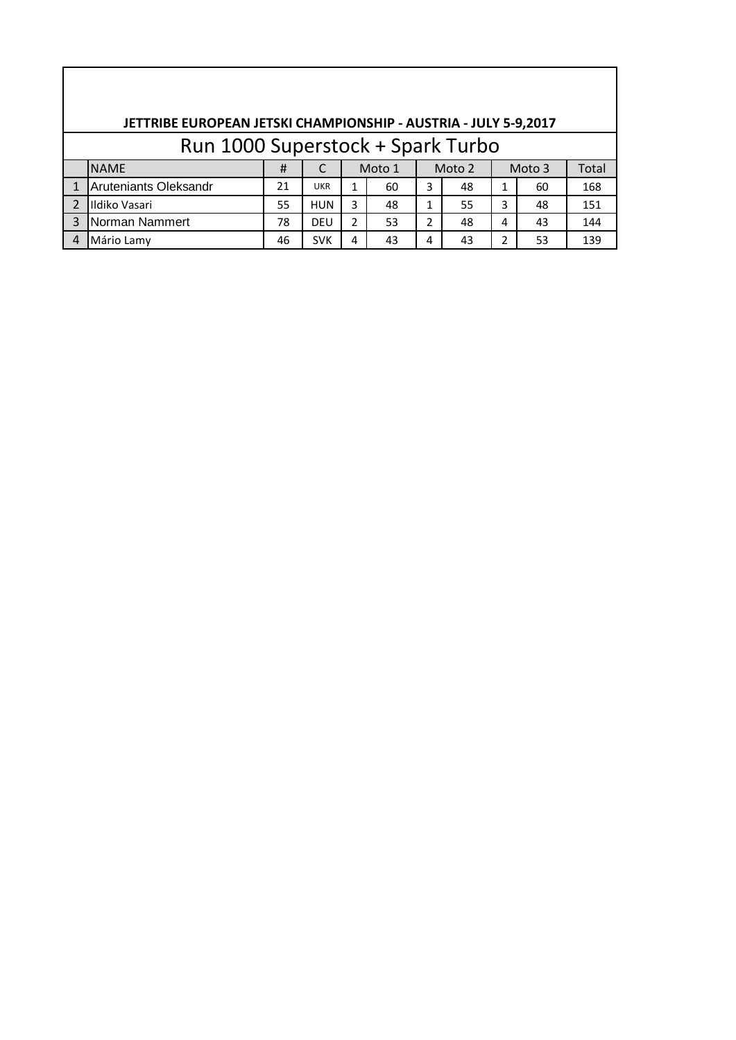|                         | JETTRIBE EUROPEAN JETSKI CHAMPIONSHIP - AUSTRIA - JULY 5-9,2017 |    |            |   |        |        |    |                |    |       |  |  |  |
|-------------------------|-----------------------------------------------------------------|----|------------|---|--------|--------|----|----------------|----|-------|--|--|--|
|                         | Run 1000 Superstock + Spark Turbo                               |    |            |   |        |        |    |                |    |       |  |  |  |
|                         | <b>NAME</b>                                                     | #  |            |   | Moto 1 | Moto 2 |    | Moto 3         |    | Total |  |  |  |
|                         | <b>Aruteniants Oleksandr</b>                                    | 21 | <b>UKR</b> |   | 60     | 3      | 48 |                | 60 | 168   |  |  |  |
| $\overline{\mathbf{c}}$ | Ildiko Vasari                                                   | 55 | <b>HUN</b> | 3 | 48     | 1      | 55 | 3              | 48 | 151   |  |  |  |
| 3                       | Norman Nammert                                                  | 78 | <b>DEU</b> | 2 | 53     | 2      | 48 | 4              | 43 | 144   |  |  |  |
|                         | Mário Lamy                                                      | 46 | <b>SVK</b> | 4 | 43     | 4      | 43 | $\overline{2}$ | 53 | 139   |  |  |  |